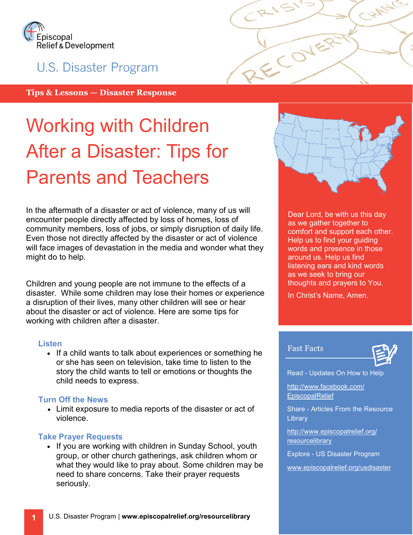

# U.S. Disaster Program

Tips & Lessons — Disaster Response

# Working with Children After a Disaster: Tips for Parents and Teachers

In the aftermath of a disaster or act of violence, many of us will encounter people directly affected by loss of homes, loss of community members, loss of jobs, or simply disruption of daily life. Even those not directly affected by the disaster or act of violence will face images of devastation in the media and wonder what they might do to help.

Children and young people are not immune to the effects of a disaster. While some children may lose their homes or experience a disruption of their lives, many other children will see or hear about the disaster or act of violence. Here are some tips for working with children after a disaster.

#### **Listen**

• If a child wants to talk about experiences or something he or she has seen on television, take time to listen to the story the child wants to tell or emotions or thoughts the child needs to express.

#### Turn Off the News

• Limit exposure to media reports of the disaster or act of violence.

#### Take Prayer Requests

• If you are working with children in Sunday School, youth group, or other church gatherings, ask children whom or what they would like to pray about. Some children may be need to share concerns. Take their prayer requests seriously.



ECOVER

Dear Lord, be with us this day as we gather together to comfort and support each other. Help us to find your guiding words and presence in those around us. Help us find listening ears and kind words as we seek to bring our thoughts and prayers to You.

In Christ's Name, Amen.

#### Fast Facts



Read - Updates On How to Help

http://www.facebook.com/ EpiscopalRelief

Share - Articles From the Resource **Library** 

http://www.episcopalrelief.org/ resourcelibrary

Explore - US Disaster Program

www.episcopalrelief.org/usdisaster